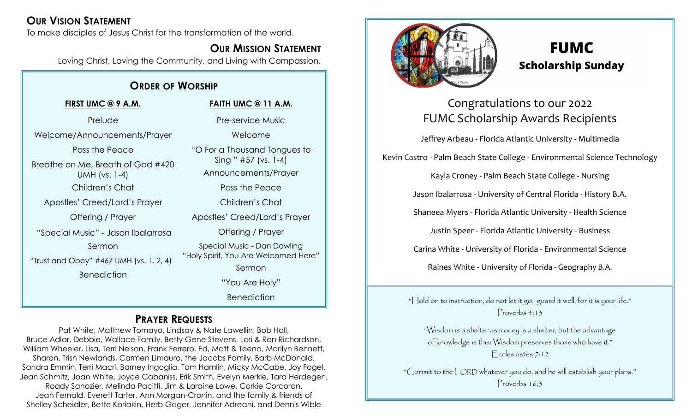## **OUR VISION STATEMENT**

To make disciples of Jesus Christ for the transformation of the world.

## **OUR MISSION STATEMENT**

Loving Christ, Loving the Community, and Living with Compassion.

## **ORDER OF WORSHIP**

**FIRST UMC @ 9 A.M.** Prelude Welcome/Announcements/Prayer Pass the Peace Breathe on Me, Breath of God #420 UMH (vs. 1-4) Children's Chat Apostles' Creed/Lord's Prayer Offering / Prayer "Special Music" - Jason Ibalarrosa Sermon "Trust and Obey" #467 UMH (vs. 1, 2, 4) **Benediction FAITH UMC @ 11 A.M.** Pre-service Music Welcome "O For a Thousand Tongues to Sing " #57 (vs. 1-4) Announcements/Prayer Pass the Peace Children's Chat Apostles' Creed/Lord's Prayer Offering / Prayer Special Music - Dan Dowling "Holy Spirit, You Are Welcomed Here" Sermon "You Are Holy" **Benediction** 

## **PRAYER REQUESTS**

Pat White, Matthew Tomayo, Lindsay & Nate Lawellin, Bob Hall, Bruce Adlar, Debbie, Wallace Family, Betty Gene Stevens, Lori & Ron Richardson, William Wheeler, Lisa, Terri Nelson, Frank Ferrero. Ed, Matt & Teena, Marilyn Bennett, Sharon, Trish Newlands, Carmen Limauro, the Jacobs Family, Barb McDonald, Sandra Emmin, Terri Macri, Barney Ingoglia, Tom Hamlin, Micky McCabe, Joy Fogel, Jean Schmitz, Joan White, Joyce Cabaniss, Erik Smith, Evelyn Merkle, Tara Herdegen, Roady Sanozier, Melinda Pacitti, Jim & Laraine Lowe, Corkie Corcoran, Jean Fernald, Everett Tarter, Ann Morgan-Cronin, and the family & friends of Shelley Scheidler, Bette Koriakin, Herb Gager, Jennifer Adreani, and Dennis Wible



# **FUMC Scholarship Sunday**

## Congratulations to our 2022 FUMC Scholarship Awards Recipients

Jeffrey Arbeau - Florida Atlantic University - Multimedia Kevin Castro - Palm Beach State College - Environmental Science Technology Kayla Croney - Palm Beach State College - Nursing Jason Ibalarrosa - University of Central Florida - History B.A. Shaneea Myers - Florida Atlantic University - Health Science Justin Speer - Florida Atlantic University - Business Carina White - University of Florida - Environmental Science Raines White - University of Florida - Geography B.A.

"Hold on to instruction, do not let it go; guard it well, for it is your life." Proverbs 4:13

"Wisdom is a shelter as money is a shelter, but the advantage of knowledge is this: Wisdom preserves those who have it." Ecclesiastes 7:12

"Commit to the LORD whatever you do, and he will establish your plans." Proverbs 16:3